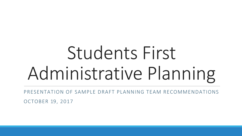# Students First Administrative Planning

PRESENTATION OF SAMPLE DRAFT PLANNING TEAM RECOMMENDATIONS OCTOBER 19, 2017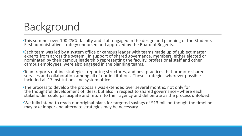### Background

- •This summer over 100 CSCU faculty and staff engaged in the design and planning of the Students First administrative strategy endorsed and approved by the Board of Regents.
- •Each team was led by a system office or campus leader with teams made up of subject matter experts from across the system. In support of shared governance, members, either elected or nominated by their campus leadership representing the faculty, professional staff and other<br>campus employees, were also engaged in the planning teams.
- •Team reports outline strategies, reporting structures, and best practices that promote shared services and collaboration among all of our institutions. These strategies wherever possible included all 17 institutions and system office.
- •The process to develop the proposals was extended over several months, not only for the thoughtful development of ideas, but also in respect to shared governance--where each stakeholder could participate and return to their agency and deliberate as the process unfolded.
- •We fully intend to reach our original plans for targeted savings of \$13 million though the timeline may take longer and alternate strategies may be necessary.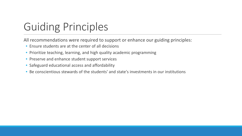## Guiding Principles

All recommendations were required to support or enhance our guiding principles:

- Ensure students are at the center of all decisions
- Prioritize teaching, learning, and high quality academic programming
- Preserve and enhance student support services
- Safeguard educational access and affordability
- Be conscientious stewards of the students' and state's investments in our institutions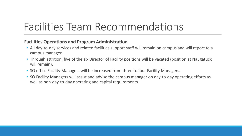### Facilities Team Recommendations

#### **Facilities Operations and Program Administration**

- All day-to-day services and related facilities support staff will remain on campus and will report to a campus manager.
- Through attrition, five of the six Director of Facility positions will be vacated (position at Naugatuck will remain).
- SO office Facility Managers will be increased from three to four Facility Managers.
- SO Facility Managers will assist and advise the campus manager on day-to-day operating efforts as well as non-day-to-day operating and capital requirements.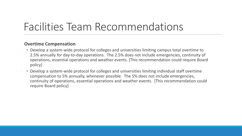### Facilities Team Recommendations

#### **Overtime Compensation**

- Develop a system-wide protocol for colleges and universities limiting campus total overtime to 2.5% annually for day-to-day operations. The 2.5% does not include emergencies, continuity of operations, essential operations and weather events. [This recommendation could require Board policy]
- Develop a system-wide protocol for colleges and universities limiting individual staff overtime compensation to 5% annually, whenever possible. The 5% does not include emergencies, continuity of operations, essential operations and weather events. [This recommendation could require Board policy]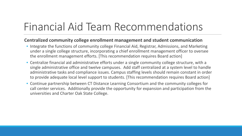#### **Centralized community college enrollment management and student communication**

- Integrate the functions of community college Financial Aid, Registrar, Admissions, and Marketing under a single college structure, incorporating a chief enrollment management officer to oversee the enrollment management efforts. [This recommendation requires Board action]
- Centralize financial aid administrative efforts under a single community college structure, with a single administrative office and twelve campuses. Add staff centralized at a system level to handle administrative tasks and compliance issues. Campus staffing levels should remain constant in order to provide adequate local level support to students. [This recommendation requires Board action]
- Continue partnership between CT Distance Learning Consortium and the community colleges for call center services. Additionally provide the opportunity for expansion and participation from the universities and Charter Oak State College.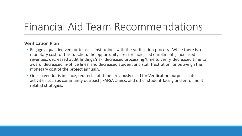#### **Verification Plan**

- Engage a qualified vendor to assist institutions with the Verification process. While there is a monetary cost for this function, the opportunity cost for increased enrollments, increased revenues, decreased audit findings/risk, decreased processing/time to verify, decreased time to award, decreased in-office lines, and decreased student and staff frustration far outweigh the monetary cost of the project annually.
- Once a vendor is in place, redirect staff time previously used for Verification purposes into activities such as community outreach, FAFSA clinics, and other student-facing and enrollment related strategies.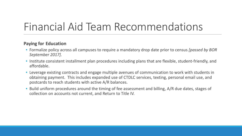#### **Paying for Education**

- Formalize policy across all campuses to require a mandatory drop date prior to census *[passed by BOR September 2017].*
- Institute consistent installment plan procedures including plans that are flexible, student-friendly, and affordable.
- Leverage existing contracts and engage multiple avenues of communication to work with students in obtaining payment. This includes expanded use of CTDLC services, texting, personal email use, and postcards to reach students with active A/R balances.
- Build uniform procedures around the timing of fee assessment and billing, A/R due dates, stages of collection on accounts not current, and Return to Title IV.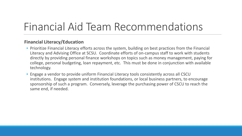#### **Financial Literacy/Education**

- Prioritize Financial Literacy efforts across the system, building on best practices from the Financial Literacy and Advising Office at SCSU. Coordinate efforts of on-campus staff to work with students directly by providing personal finance workshops on topics such as money management, paying for college, personal budgeting, loan repayment, etc. This must be done in conjunction with available technology.
- Engage a vendor to provide uniform Financial Literacy tools consistently across all CSCU institutions. Engage system and institution foundations, or local business partners, to encourage sponsorship of such a program. Conversely, leverage the purchasing power of CSCU to reach the same end, if needed.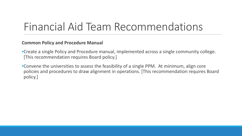#### **Common Policy and Procedure Manual**

- •Create a single Policy and Procedure manual, implemented across a single community college. [This recommendation requires Board policy.]
- •Convene the universities to assess the feasibility of a single PPM. At minimum, align core policies and procedures to draw alignment in operations. [This recommendation requires Board policy.]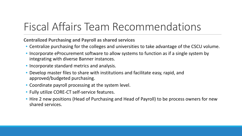**Centralized Purchasing and Payroll as shared services**

- Centralize purchasing for the colleges and universities to take advantage of the CSCU volume.
- Incorporate eProcurement software to allow systems to function as if a single system by integrating with diverse Banner instances.
- Incorporate standard metrics and analysis.
- Develop master files to share with institutions and facilitate easy, rapid, and approved/budgeted purchasing.
- Coordinate payroll processing at the system level.
- Fully utilize CORE-CT self-service features.
- Hire 2 new positions (Head of Purchasing and Head of Payroll) to be process owners for new shared services.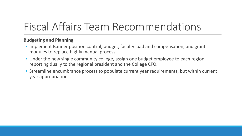#### **Budgeting and Planning**

- Implement Banner position control, budget, faculty load and compensation, and grant modules to replace highly manual process.
- Under the new single community college, assign one budget employee to each region, reporting dually to the regional president and the College CFO.
- Streamline encumbrance process to populate current year requirements, but within current year appropriations.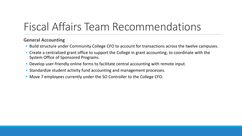#### **General Accounting**

- Build structure under Community College CFO to account for transactions across the twelve campuses.
- Create a centralized grant office to support the College in grant accounting; to coordinate with the System Office of Sponsored Programs.
- Develop user-friendly online forms to facilitate central accounting with remote input.
- Standardize student activity fund accounting and management processes.
- Move 7 employees currently under the SO Controller to the College CFO.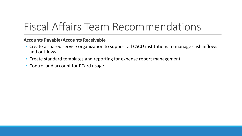**Accounts Payable/Accounts Receivable**

- Create a shared service organization to support all CSCU institutions to manage cash inflows and outflows.
- Create standard templates and reporting for expense report management.
- Control and account for PCard usage.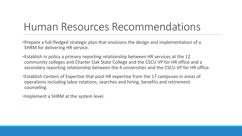### Human Resources Recommendations

•Prepare a full-fledged strategic plan that envisions the design and implementation of a SHRM for delivering HR service.

- •Establish in policy a primary reporting relationship between HR services at the 12 community colleges and Charter Oak State College and the CSCU VP for HR office and a secondary reporting relationship between the 4 universities and the CSCU VP for HR office.
- •Establish Centers of Expertise that pool HR expertise from the 17 campuses in areas of operations including labor relations, searches and hiring, benefits and retirement counseling.
- •Implement a SHRM at the system level.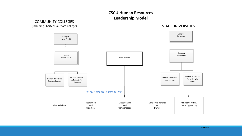#### **CSCU Human Resources Leadership Model**

(including Charter Oak State College) STATE UNIVERSITIES Campus President Campus Vice President  $\bullet$ Campus Campus **HR Director HR** Director HR LEADER Human Resources Human Resources Human Resources Human Resources Administrative Administrative **Business Partner Business Partner** Support Support *CENTERS OF EXPERTISE* Recruitment Classification Employee Benefits Affirmative Action/ Labor Relations and and and Equal Opportunity Compensation Payroll Selection

COMMUNITY COLLEGES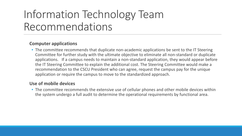## Information Technology Team Recommendations

#### **Computer applications**

• The committee recommends that duplicate non-academic applications be sent to the IT Steering Committee for further study with the ultimate objective to eliminate all non-standard or duplicate applications. If a campus needs to maintain a non-standard application, they would appear before the IT Steering Committee to explain the additional cost. The Steering Committee would make a recommendation to the CSCU President who can agree, request the campus pay for the unique application or require the campus to move to the standardized approach.

#### **Use of mobile devices**

• The committee recommends the extensive use of cellular phones and other mobile devices within the system undergo a full audit to determine the operational requirements by functional area.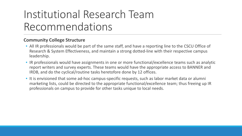## Institutional Research Team Recommendations

#### **Community College Structure**

- All IR professionals would be part of the same staff, and have a reporting line to the CSCU Office of Research & System Effectiveness, and maintain a strong dotted-line with their respective campus leadership.
- IR professionals would have assignments in one or more functional/excellence teams such as analytic report writers and survey experts. These teams would have the appropriate access to BANNER and IRDB, and do the cyclical/routine tasks heretofore done by 12 offices.
- It is envisioned that some ad-hoc campus-specific requests, such as labor market data or alumni marketing lists, could be directed to the appropriate functional/excellence team; thus freeing up IR professionals on campus to provide for other tasks unique to local needs.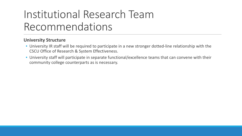## Institutional Research Team Recommendations

#### **University Structure**

- University IR staff will be required to participate in a new stronger dotted-line relationship with the CSCU Office of Research & System Effectiveness.
- University staff will participate in separate functional/excellence teams that can convene with their community college counterparts as is necessary.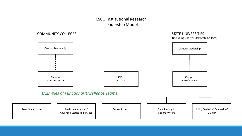#### **CSCU Institutional Research** Leadership Model

#### **COMMUNITY COLLEGES**

#### **STATE UNIVERSITIES**

(including Charter Oak State College)

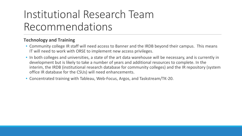## Institutional Research Team Recommendations

#### **Technology and Training**

- Community college IR staff will need access to Banner and the IRDB beyond their campus. This means IT will need to work with ORSE to implement new access privileges.
- In both colleges and universities, a state of the art data warehouse will be necessary, and is currently in development but is likely to take a number of years and additional resources to complete. In the interim, the IRDB (institutional research database for community colleges) and the IR repository (system office IR database for the CSUs) will need enhancements.
- Concentrated training with Tableau, Web-Focus, Argos, and Taskstream/TK-20.